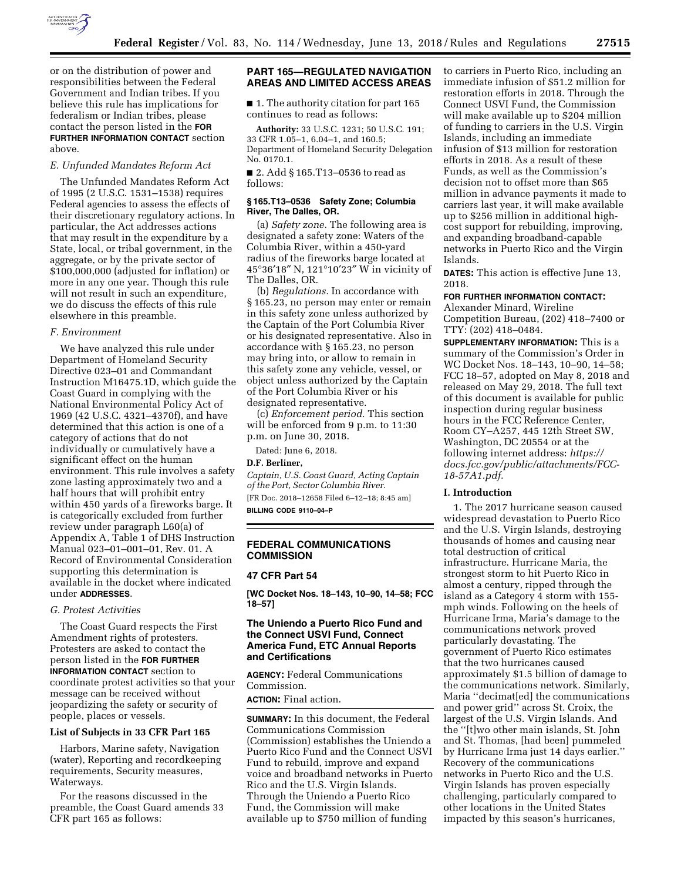

or on the distribution of power and responsibilities between the Federal Government and Indian tribes. If you believe this rule has implications for federalism or Indian tribes, please contact the person listed in the **FOR FURTHER INFORMATION CONTACT** section above.

#### *E. Unfunded Mandates Reform Act*

The Unfunded Mandates Reform Act of 1995 (2 U.S.C. 1531–1538) requires Federal agencies to assess the effects of their discretionary regulatory actions. In particular, the Act addresses actions that may result in the expenditure by a State, local, or tribal government, in the aggregate, or by the private sector of \$100,000,000 (adjusted for inflation) or more in any one year. Though this rule will not result in such an expenditure, we do discuss the effects of this rule elsewhere in this preamble.

## *F. Environment*

We have analyzed this rule under Department of Homeland Security Directive 023–01 and Commandant Instruction M16475.1D, which guide the Coast Guard in complying with the National Environmental Policy Act of 1969 (42 U.S.C. 4321–4370f), and have determined that this action is one of a category of actions that do not individually or cumulatively have a significant effect on the human environment. This rule involves a safety zone lasting approximately two and a half hours that will prohibit entry within 450 yards of a fireworks barge. It is categorically excluded from further review under paragraph L60(a) of Appendix A, Table 1 of DHS Instruction Manual 023–01–001–01, Rev. 01. A Record of Environmental Consideration supporting this determination is available in the docket where indicated under **ADDRESSES**.

### *G. Protest Activities*

The Coast Guard respects the First Amendment rights of protesters. Protesters are asked to contact the person listed in the **FOR FURTHER INFORMATION CONTACT** section to coordinate protest activities so that your message can be received without jeopardizing the safety or security of people, places or vessels.

### **List of Subjects in 33 CFR Part 165**

Harbors, Marine safety, Navigation (water), Reporting and recordkeeping requirements, Security measures, Waterways.

For the reasons discussed in the preamble, the Coast Guard amends 33 CFR part 165 as follows:

# **PART 165—REGULATED NAVIGATION AREAS AND LIMITED ACCESS AREAS**

■ 1. The authority citation for part 165 continues to read as follows:

**Authority:** 33 U.S.C. 1231; 50 U.S.C. 191; 33 CFR 1.05–1, 6.04–1, and 160.5; Department of Homeland Security Delegation No. 0170.1.

■ 2. Add § 165.T13–0536 to read as follows:

## **§ 165.T13–0536 Safety Zone; Columbia River, The Dalles, OR.**

(a) *Safety zone.* The following area is designated a safety zone: Waters of the Columbia River, within a 450-yard radius of the fireworks barge located at 45°36′18″ N, 121°10′23″ W in vicinity of The Dalles, OR.

(b) *Regulations.* In accordance with § 165.23, no person may enter or remain in this safety zone unless authorized by the Captain of the Port Columbia River or his designated representative. Also in accordance with § 165.23, no person may bring into, or allow to remain in this safety zone any vehicle, vessel, or object unless authorized by the Captain of the Port Columbia River or his designated representative.

(c) *Enforcement period.* This section will be enforced from 9 p.m. to 11:30 p.m. on June 30, 2018.

Dated: June 6, 2018.

#### **D.F. Berliner,**

*Captain, U.S. Coast Guard, Acting Captain of the Port, Sector Columbia River.*  [FR Doc. 2018–12658 Filed 6–12–18; 8:45 am]

**BILLING CODE 9110–04–P** 

## **FEDERAL COMMUNICATIONS COMMISSION**

#### **47 CFR Part 54**

**[WC Docket Nos. 18–143, 10–90, 14–58; FCC 18–57]** 

## **The Uniendo a Puerto Rico Fund and the Connect USVI Fund, Connect America Fund, ETC Annual Reports and Certifications**

**AGENCY:** Federal Communications Commission.

**ACTION:** Final action.

**SUMMARY:** In this document, the Federal Communications Commission (Commission) establishes the Uniendo a Puerto Rico Fund and the Connect USVI Fund to rebuild, improve and expand voice and broadband networks in Puerto Rico and the U.S. Virgin Islands. Through the Uniendo a Puerto Rico Fund, the Commission will make available up to \$750 million of funding

to carriers in Puerto Rico, including an immediate infusion of \$51.2 million for restoration efforts in 2018. Through the Connect USVI Fund, the Commission will make available up to \$204 million of funding to carriers in the U.S. Virgin Islands, including an immediate infusion of \$13 million for restoration efforts in 2018. As a result of these Funds, as well as the Commission's decision not to offset more than \$65 million in advance payments it made to carriers last year, it will make available up to \$256 million in additional highcost support for rebuilding, improving, and expanding broadband-capable networks in Puerto Rico and the Virgin Islands.

**DATES:** This action is effective June 13, 2018.

### **FOR FURTHER INFORMATION CONTACT:**

Alexander Minard, Wireline Competition Bureau, (202) 418–7400 or TTY: (202) 418–0484.

**SUPPLEMENTARY INFORMATION:** This is a summary of the Commission's Order in WC Docket Nos. 18–143, 10–90, 14–58; FCC 18–57, adopted on May 8, 2018 and released on May 29, 2018. The full text of this document is available for public inspection during regular business hours in the FCC Reference Center, Room CY–A257, 445 12th Street SW, Washington, DC 20554 or at the following internet address: *[https://](https://docs.fcc.gov/public/attachments/FCC-18-57A1.pdf) [docs.fcc.gov/public/attachments/FCC-](https://docs.fcc.gov/public/attachments/FCC-18-57A1.pdf)[18-57A1.pdf.](https://docs.fcc.gov/public/attachments/FCC-18-57A1.pdf)* 

#### **I. Introduction**

1. The 2017 hurricane season caused widespread devastation to Puerto Rico and the U.S. Virgin Islands, destroying thousands of homes and causing near total destruction of critical infrastructure. Hurricane Maria, the strongest storm to hit Puerto Rico in almost a century, ripped through the island as a Category 4 storm with 155 mph winds. Following on the heels of Hurricane Irma, Maria's damage to the communications network proved particularly devastating. The government of Puerto Rico estimates that the two hurricanes caused approximately \$1.5 billion of damage to the communications network. Similarly, Maria ''decimat[ed] the communications and power grid'' across St. Croix, the largest of the U.S. Virgin Islands. And the ''[t]wo other main islands, St. John and St. Thomas, [had been] pummeled by Hurricane Irma just 14 days earlier.'' Recovery of the communications networks in Puerto Rico and the U.S. Virgin Islands has proven especially challenging, particularly compared to other locations in the United States impacted by this season's hurricanes,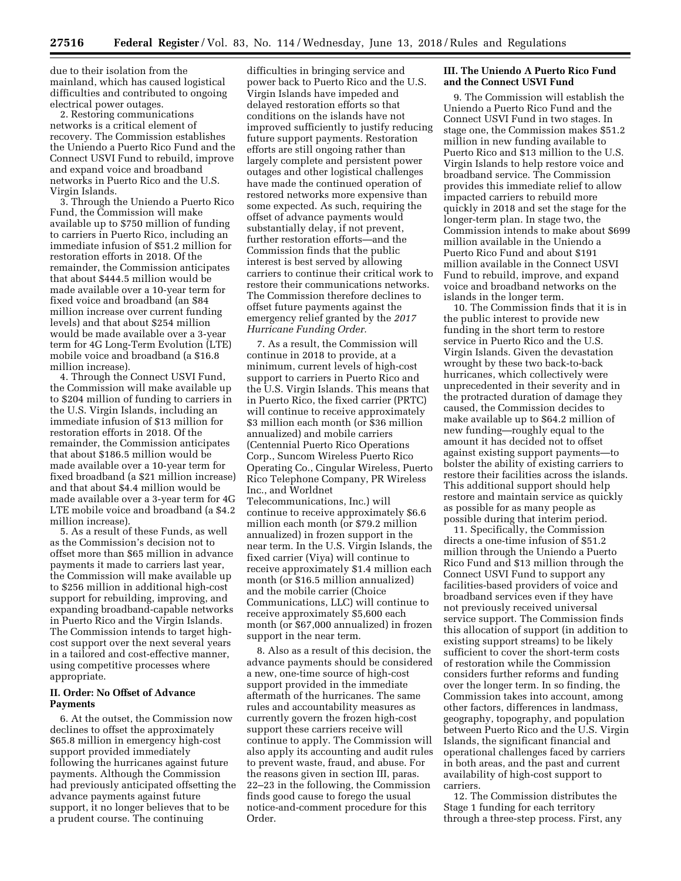due to their isolation from the mainland, which has caused logistical difficulties and contributed to ongoing electrical power outages.

2. Restoring communications networks is a critical element of recovery. The Commission establishes the Uniendo a Puerto Rico Fund and the Connect USVI Fund to rebuild, improve and expand voice and broadband networks in Puerto Rico and the U.S. Virgin Islands.

3. Through the Uniendo a Puerto Rico Fund, the Commission will make available up to \$750 million of funding to carriers in Puerto Rico, including an immediate infusion of \$51.2 million for restoration efforts in 2018. Of the remainder, the Commission anticipates that about \$444.5 million would be made available over a 10-year term for fixed voice and broadband (an \$84 million increase over current funding levels) and that about \$254 million would be made available over a 3-year term for 4G Long-Term Evolution (LTE) mobile voice and broadband (a \$16.8 million increase).

4. Through the Connect USVI Fund, the Commission will make available up to \$204 million of funding to carriers in the U.S. Virgin Islands, including an immediate infusion of \$13 million for restoration efforts in 2018. Of the remainder, the Commission anticipates that about \$186.5 million would be made available over a 10-year term for fixed broadband (a \$21 million increase) and that about \$4.4 million would be made available over a 3-year term for 4G LTE mobile voice and broadband (a \$4.2 million increase).

5. As a result of these Funds, as well as the Commission's decision not to offset more than \$65 million in advance payments it made to carriers last year, the Commission will make available up to \$256 million in additional high-cost support for rebuilding, improving, and expanding broadband-capable networks in Puerto Rico and the Virgin Islands. The Commission intends to target highcost support over the next several years in a tailored and cost-effective manner, using competitive processes where appropriate.

## **II. Order: No Offset of Advance Payments**

6. At the outset, the Commission now declines to offset the approximately \$65.8 million in emergency high-cost support provided immediately following the hurricanes against future payments. Although the Commission had previously anticipated offsetting the advance payments against future support, it no longer believes that to be a prudent course. The continuing

difficulties in bringing service and power back to Puerto Rico and the U.S. Virgin Islands have impeded and delayed restoration efforts so that conditions on the islands have not improved sufficiently to justify reducing future support payments. Restoration efforts are still ongoing rather than largely complete and persistent power outages and other logistical challenges have made the continued operation of restored networks more expensive than some expected. As such, requiring the offset of advance payments would substantially delay, if not prevent, further restoration efforts—and the Commission finds that the public interest is best served by allowing carriers to continue their critical work to restore their communications networks. The Commission therefore declines to offset future payments against the emergency relief granted by the *2017 Hurricane Funding Order.* 

7. As a result, the Commission will continue in 2018 to provide, at a minimum, current levels of high-cost support to carriers in Puerto Rico and the U.S. Virgin Islands. This means that in Puerto Rico, the fixed carrier (PRTC) will continue to receive approximately \$3 million each month (or \$36 million annualized) and mobile carriers (Centennial Puerto Rico Operations Corp., Suncom Wireless Puerto Rico Operating Co., Cingular Wireless, Puerto Rico Telephone Company, PR Wireless Inc., and Worldnet Telecommunications, Inc.) will continue to receive approximately \$6.6 million each month (or \$79.2 million

annualized) in frozen support in the near term. In the U.S. Virgin Islands, the fixed carrier (Viya) will continue to receive approximately \$1.4 million each month (or \$16.5 million annualized) and the mobile carrier (Choice Communications, LLC) will continue to receive approximately \$5,600 each month (or \$67,000 annualized) in frozen support in the near term.

8. Also as a result of this decision, the advance payments should be considered a new, one-time source of high-cost support provided in the immediate aftermath of the hurricanes. The same rules and accountability measures as currently govern the frozen high-cost support these carriers receive will continue to apply. The Commission will also apply its accounting and audit rules to prevent waste, fraud, and abuse. For the reasons given in section III, paras. 22–23 in the following, the Commission finds good cause to forego the usual notice-and-comment procedure for this Order.

### **III. The Uniendo A Puerto Rico Fund and the Connect USVI Fund**

9. The Commission will establish the Uniendo a Puerto Rico Fund and the Connect USVI Fund in two stages. In stage one, the Commission makes \$51.2 million in new funding available to Puerto Rico and \$13 million to the U.S. Virgin Islands to help restore voice and broadband service. The Commission provides this immediate relief to allow impacted carriers to rebuild more quickly in 2018 and set the stage for the longer-term plan. In stage two, the Commission intends to make about \$699 million available in the Uniendo a Puerto Rico Fund and about \$191 million available in the Connect USVI Fund to rebuild, improve, and expand voice and broadband networks on the islands in the longer term.

10. The Commission finds that it is in the public interest to provide new funding in the short term to restore service in Puerto Rico and the U.S. Virgin Islands. Given the devastation wrought by these two back-to-back hurricanes, which collectively were unprecedented in their severity and in the protracted duration of damage they caused, the Commission decides to make available up to \$64.2 million of new funding—roughly equal to the amount it has decided not to offset against existing support payments—to bolster the ability of existing carriers to restore their facilities across the islands. This additional support should help restore and maintain service as quickly as possible for as many people as possible during that interim period.

11. Specifically, the Commission directs a one-time infusion of \$51.2 million through the Uniendo a Puerto Rico Fund and \$13 million through the Connect USVI Fund to support any facilities-based providers of voice and broadband services even if they have not previously received universal service support. The Commission finds this allocation of support (in addition to existing support streams) to be likely sufficient to cover the short-term costs of restoration while the Commission considers further reforms and funding over the longer term. In so finding, the Commission takes into account, among other factors, differences in landmass, geography, topography, and population between Puerto Rico and the U.S. Virgin Islands, the significant financial and operational challenges faced by carriers in both areas, and the past and current availability of high-cost support to carriers.

12. The Commission distributes the Stage 1 funding for each territory through a three-step process. First, any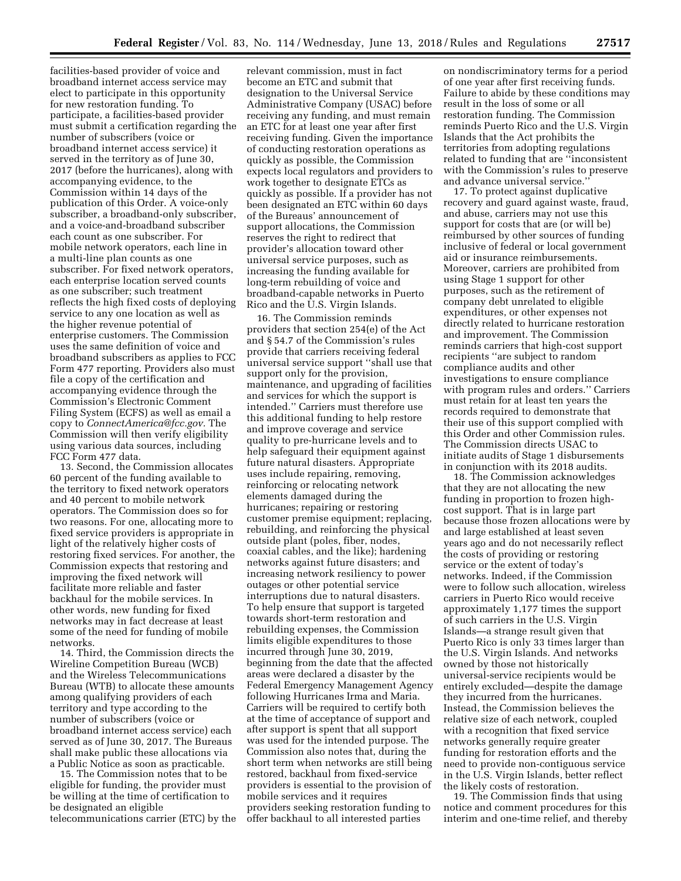facilities-based provider of voice and broadband internet access service may elect to participate in this opportunity for new restoration funding. To participate, a facilities-based provider must submit a certification regarding the number of subscribers (voice or broadband internet access service) it served in the territory as of June 30, 2017 (before the hurricanes), along with accompanying evidence, to the Commission within 14 days of the publication of this Order. A voice-only subscriber, a broadband-only subscriber, and a voice-and-broadband subscriber each count as one subscriber. For mobile network operators, each line in a multi-line plan counts as one subscriber. For fixed network operators, each enterprise location served counts as one subscriber; such treatment reflects the high fixed costs of deploying service to any one location as well as the higher revenue potential of enterprise customers. The Commission uses the same definition of voice and broadband subscribers as applies to FCC Form 477 reporting. Providers also must file a copy of the certification and accompanying evidence through the Commission's Electronic Comment Filing System (ECFS) as well as email a copy to *[ConnectAmerica@fcc.gov.](mailto:ConnectAmerica@fcc.gov)* The Commission will then verify eligibility using various data sources, including FCC Form 477 data.

13. Second, the Commission allocates 60 percent of the funding available to the territory to fixed network operators and 40 percent to mobile network operators. The Commission does so for two reasons. For one, allocating more to fixed service providers is appropriate in light of the relatively higher costs of restoring fixed services. For another, the Commission expects that restoring and improving the fixed network will facilitate more reliable and faster backhaul for the mobile services. In other words, new funding for fixed networks may in fact decrease at least some of the need for funding of mobile networks.

14. Third, the Commission directs the Wireline Competition Bureau (WCB) and the Wireless Telecommunications Bureau (WTB) to allocate these amounts among qualifying providers of each territory and type according to the number of subscribers (voice or broadband internet access service) each served as of June 30, 2017. The Bureaus shall make public these allocations via a Public Notice as soon as practicable.

15. The Commission notes that to be eligible for funding, the provider must be willing at the time of certification to be designated an eligible telecommunications carrier (ETC) by the

relevant commission, must in fact become an ETC and submit that designation to the Universal Service Administrative Company (USAC) before receiving any funding, and must remain an ETC for at least one year after first receiving funding. Given the importance of conducting restoration operations as quickly as possible, the Commission expects local regulators and providers to work together to designate ETCs as quickly as possible. If a provider has not been designated an ETC within 60 days of the Bureaus' announcement of support allocations, the Commission reserves the right to redirect that provider's allocation toward other universal service purposes, such as increasing the funding available for long-term rebuilding of voice and broadband-capable networks in Puerto Rico and the U.S. Virgin Islands.

16. The Commission reminds providers that section 254(e) of the Act and § 54.7 of the Commission's rules provide that carriers receiving federal universal service support ''shall use that support only for the provision, maintenance, and upgrading of facilities and services for which the support is intended.'' Carriers must therefore use this additional funding to help restore and improve coverage and service quality to pre-hurricane levels and to help safeguard their equipment against future natural disasters. Appropriate uses include repairing, removing, reinforcing or relocating network elements damaged during the hurricanes; repairing or restoring customer premise equipment; replacing, rebuilding, and reinforcing the physical outside plant (poles, fiber, nodes, coaxial cables, and the like); hardening networks against future disasters; and increasing network resiliency to power outages or other potential service interruptions due to natural disasters. To help ensure that support is targeted towards short-term restoration and rebuilding expenses, the Commission limits eligible expenditures to those incurred through June 30, 2019, beginning from the date that the affected areas were declared a disaster by the Federal Emergency Management Agency following Hurricanes Irma and Maria. Carriers will be required to certify both at the time of acceptance of support and after support is spent that all support was used for the intended purpose. The Commission also notes that, during the short term when networks are still being restored, backhaul from fixed-service providers is essential to the provision of mobile services and it requires providers seeking restoration funding to offer backhaul to all interested parties

on nondiscriminatory terms for a period of one year after first receiving funds. Failure to abide by these conditions may result in the loss of some or all restoration funding. The Commission reminds Puerto Rico and the U.S. Virgin Islands that the Act prohibits the territories from adopting regulations related to funding that are ''inconsistent with the Commission's rules to preserve and advance universal service.''

17. To protect against duplicative recovery and guard against waste, fraud, and abuse, carriers may not use this support for costs that are (or will be) reimbursed by other sources of funding inclusive of federal or local government aid or insurance reimbursements. Moreover, carriers are prohibited from using Stage 1 support for other purposes, such as the retirement of company debt unrelated to eligible expenditures, or other expenses not directly related to hurricane restoration and improvement. The Commission reminds carriers that high-cost support recipients ''are subject to random compliance audits and other investigations to ensure compliance with program rules and orders.'' Carriers must retain for at least ten years the records required to demonstrate that their use of this support complied with this Order and other Commission rules. The Commission directs USAC to initiate audits of Stage 1 disbursements in conjunction with its 2018 audits.

18. The Commission acknowledges that they are not allocating the new funding in proportion to frozen highcost support. That is in large part because those frozen allocations were by and large established at least seven years ago and do not necessarily reflect the costs of providing or restoring service or the extent of today's networks. Indeed, if the Commission were to follow such allocation, wireless carriers in Puerto Rico would receive approximately 1,177 times the support of such carriers in the U.S. Virgin Islands—a strange result given that Puerto Rico is only 33 times larger than the U.S. Virgin Islands. And networks owned by those not historically universal-service recipients would be entirely excluded—despite the damage they incurred from the hurricanes. Instead, the Commission believes the relative size of each network, coupled with a recognition that fixed service networks generally require greater funding for restoration efforts and the need to provide non-contiguous service in the U.S. Virgin Islands, better reflect the likely costs of restoration.

19. The Commission finds that using notice and comment procedures for this interim and one-time relief, and thereby